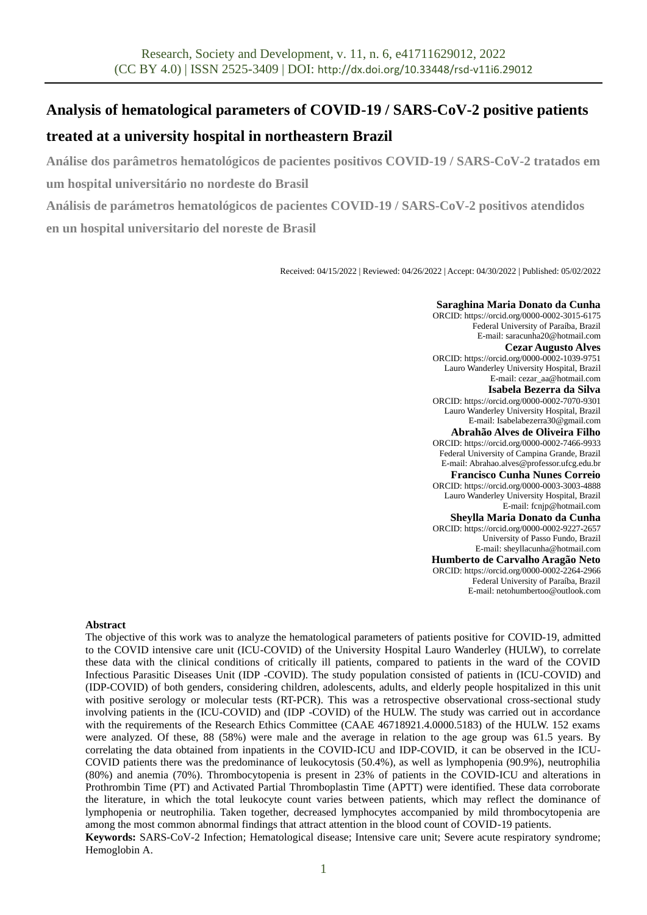# **Analysis of hematological parameters of COVID-19 / SARS-CoV-2 positive patients**

# **treated at a university hospital in northeastern Brazil**

**Análise dos parâmetros hematológicos de pacientes positivos COVID-19 / SARS-CoV-2 tratados em um hospital universitário no nordeste do Brasil**

**Análisis de parámetros hematológicos de pacientes COVID-19 / SARS-CoV-2 positivos atendidos en un hospital universitario del noreste de Brasil**

Received: 04/15/2022 | Reviewed: 04/26/2022 | Accept: 04/30/2022 | Published: 05/02/2022

#### **Saraghina Maria Donato da Cunha**

ORCID: https://orcid.org/0000-0002-3015-6175 Federal University of Paraíba, Brazil E-mail: saracunha20@hotmail.com **Cezar Augusto Alves**  ORCID: https://orcid.org/0000-0002-1039-9751 Lauro Wanderley University Hospital, Brazil E-mail: cezar\_aa@hotmail.com **Isabela Bezerra da Silva**  ORCID: https://orcid.org/0000-0002-7070-9301 Lauro Wanderley University Hospital, Brazil E-mail: Isabelabezerra30@gmail.com **Abrahão Alves de Oliveira Filho**  ORCID: https://orcid.org/0000-0002-7466-9933 Federal University of Campina Grande, Brazil E-mail: Abrahao.alves@professor.ufcg.edu.br **Francisco Cunha Nunes Correio**  ORCID: https://orcid.org/0000-0003-3003-4888 Lauro Wanderley University Hospital, Brazil E-mail: fcnjp@hotmail.com **Sheylla Maria Donato da Cunha** ORCID: https://orcid.org/0000-0002-9227-2657 University of Passo Fundo, Brazil E-mail: sheyllacunha@hotmail.com **Humberto de Carvalho Aragão Neto**  ORCID: https://orcid.org/0000-0002-2264-2966 Federal University of Paraíba, Brazil E-mail: netohumbertoo@outlook.com

#### **Abstract**

The objective of this work was to analyze the hematological parameters of patients positive for COVID-19, admitted to the COVID intensive care unit (ICU-COVID) of the University Hospital Lauro Wanderley (HULW), to correlate these data with the clinical conditions of critically ill patients, compared to patients in the ward of the COVID Infectious Parasitic Diseases Unit (IDP -COVID). The study population consisted of patients in (ICU-COVID) and (IDP-COVID) of both genders, considering children, adolescents, adults, and elderly people hospitalized in this unit with positive serology or molecular tests (RT-PCR). This was a retrospective observational cross-sectional study involving patients in the (ICU-COVID) and (IDP -COVID) of the HULW. The study was carried out in accordance with the requirements of the Research Ethics Committee (CAAE 46718921.4.0000.5183) of the HULW. 152 exams were analyzed. Of these, 88 (58%) were male and the average in relation to the age group was 61.5 years. By correlating the data obtained from inpatients in the COVID-ICU and IDP-COVID, it can be observed in the ICU-COVID patients there was the predominance of leukocytosis (50.4%), as well as lymphopenia (90.9%), neutrophilia (80%) and anemia (70%). Thrombocytopenia is present in 23% of patients in the COVID-ICU and alterations in Prothrombin Time (PT) and Activated Partial Thromboplastin Time (APTT) were identified. These data corroborate the literature, in which the total leukocyte count varies between patients, which may reflect the dominance of lymphopenia or neutrophilia. Taken together, decreased lymphocytes accompanied by mild thrombocytopenia are among the most common abnormal findings that attract attention in the blood count of COVID-19 patients. **Keywords:** SARS-CoV-2 Infection; Hematological disease; Intensive care unit; Severe acute respiratory syndrome; Hemoglobin A.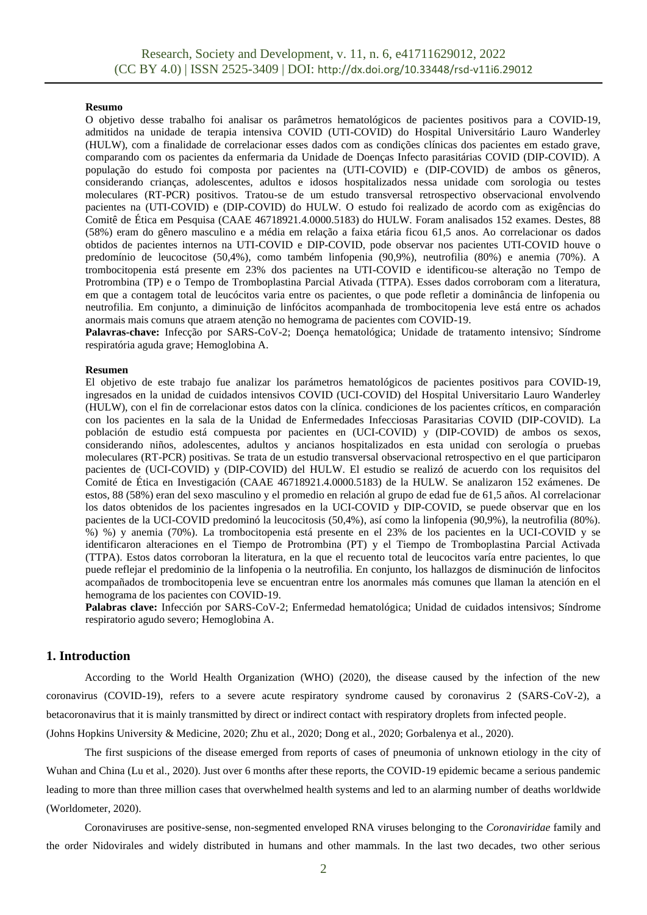#### **Resumo**

O objetivo desse trabalho foi analisar os parâmetros hematológicos de pacientes positivos para a COVID-19, admitidos na unidade de terapia intensiva COVID (UTI-COVID) do Hospital Universitário Lauro Wanderley (HULW), com a finalidade de correlacionar esses dados com as condições clínicas dos pacientes em estado grave, comparando com os pacientes da enfermaria da Unidade de Doenças Infecto parasitárias COVID (DIP-COVID). A população do estudo foi composta por pacientes na (UTI-COVID) e (DIP-COVID) de ambos os gêneros, considerando crianças, adolescentes, adultos e idosos hospitalizados nessa unidade com sorologia ou testes moleculares (RT-PCR) positivos. Tratou-se de um estudo transversal retrospectivo observacional envolvendo pacientes na (UTI-COVID) e (DIP-COVID) do HULW. O estudo foi realizado de acordo com as exigências do Comitê de Ética em Pesquisa (CAAE 46718921.4.0000.5183) do HULW. Foram analisados 152 exames. Destes, 88 (58%) eram do gênero masculino e a média em relação a faixa etária ficou 61,5 anos. Ao correlacionar os dados obtidos de pacientes internos na UTI-COVID e DIP-COVID, pode observar nos pacientes UTI-COVID houve o predomínio de leucocitose (50,4%), como também linfopenia (90,9%), neutrofilia (80%) e anemia (70%). A trombocitopenia está presente em 23% dos pacientes na UTI-COVID e identificou-se alteração no Tempo de Protrombina (TP) e o Tempo de Tromboplastina Parcial Ativada (TTPA). Esses dados corroboram com a literatura, em que a contagem total de leucócitos varia entre os pacientes, o que pode refletir a dominância de linfopenia ou neutrofilia. Em conjunto, a diminuição de linfócitos acompanhada de trombocitopenia leve está entre os achados anormais mais comuns que atraem atenção no hemograma de pacientes com COVID-19.

Palavras-chave: Infecção por SARS-CoV-2; Doença hematológica; Unidade de tratamento intensivo; Síndrome respiratória aguda grave; Hemoglobina A.

#### **Resumen**

El objetivo de este trabajo fue analizar los parámetros hematológicos de pacientes positivos para COVID-19, ingresados en la unidad de cuidados intensivos COVID (UCI-COVID) del Hospital Universitario Lauro Wanderley (HULW), con el fin de correlacionar estos datos con la clínica. condiciones de los pacientes críticos, en comparación con los pacientes en la sala de la Unidad de Enfermedades Infecciosas Parasitarias COVID (DIP-COVID). La población de estudio está compuesta por pacientes en (UCI-COVID) y (DIP-COVID) de ambos os sexos, considerando niños, adolescentes, adultos y ancianos hospitalizados en esta unidad con serología o pruebas moleculares (RT-PCR) positivas. Se trata de un estudio transversal observacional retrospectivo en el que participaron pacientes de (UCI-COVID) y (DIP-COVID) del HULW. El estudio se realizó de acuerdo con los requisitos del Comité de Ética en Investigación (CAAE 46718921.4.0000.5183) de la HULW. Se analizaron 152 exámenes. De estos, 88 (58%) eran del sexo masculino y el promedio en relación al grupo de edad fue de 61,5 años. Al correlacionar los datos obtenidos de los pacientes ingresados en la UCI-COVID y DIP-COVID, se puede observar que en los pacientes de la UCI-COVID predominó la leucocitosis (50,4%), así como la linfopenia (90,9%), la neutrofilia (80%). %) %) y anemia (70%). La trombocitopenia está presente en el 23% de los pacientes en la UCI-COVID y se identificaron alteraciones en el Tiempo de Protrombina (PT) y el Tiempo de Tromboplastina Parcial Activada (TTPA). Estos datos corroboran la literatura, en la que el recuento total de leucocitos varía entre pacientes, lo que puede reflejar el predominio de la linfopenia o la neutrofilia. En conjunto, los hallazgos de disminución de linfocitos acompañados de trombocitopenia leve se encuentran entre los anormales más comunes que llaman la atención en el hemograma de los pacientes con COVID-19.

**Palabras clave:** Infección por SARS-CoV-2; Enfermedad hematológica; Unidad de cuidados intensivos; Síndrome respiratorio agudo severo; Hemoglobina A.

#### **1. Introduction**

According to the World Health Organization (WHO) (2020), the disease caused by the infection of the new coronavirus (COVID-19), refers to a severe acute respiratory syndrome caused by coronavirus 2 (SARS-CoV-2), a betacoronavirus that it is mainly transmitted by direct or indirect contact with respiratory droplets from infected people.

(Johns Hopkins University & Medicine, 2020; Zhu et al., 2020; Dong et al., 2020; [Gorbalenya](https://pubmed.ncbi.nlm.nih.gov/?term=Gorbalenya+AE) et al., 2020).

The first suspicions of the disease emerged from reports of cases of pneumonia of unknown etiology in the city of Wuhan and China (Lu et al., 2020). Just over 6 months after these reports, the COVID-19 epidemic became a serious pandemic leading to more than three million cases that overwhelmed health systems and led to an alarming number of deaths worldwide (Worldometer, 2020).

Coronaviruses are positive-sense, non-segmented enveloped RNA viruses belonging to the *Coronaviridae* family and the order Nidovirales and widely distributed in humans and other mammals. In the last two decades, two other serious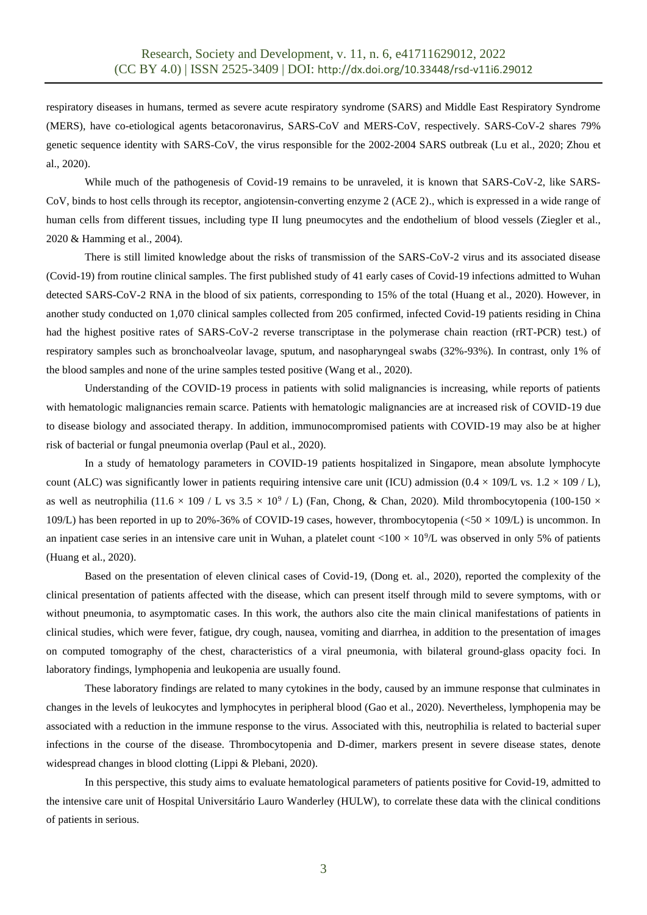respiratory diseases in humans, termed as severe acute respiratory syndrome (SARS) and Middle East Respiratory Syndrome (MERS), have co-etiological agents betacoronavirus, SARS-CoV and MERS-CoV, respectively. SARS-CoV-2 shares 79% genetic sequence identity with SARS-CoV, the virus responsible for the 2002-2004 SARS outbreak (Lu et al., 2020; Zhou et al., 2020).

While much of the pathogenesis of Covid-19 remains to be unraveled, it is known that SARS-CoV-2, like SARS-CoV, binds to host cells through its receptor, angiotensin-converting enzyme 2 (ACE 2)., which is expressed in a wide range of human cells from different tissues, including type II lung pneumocytes and the endothelium of blood vessels (Ziegler et al., 2020 & Hamming et al., 2004).

There is still limited knowledge about the risks of transmission of the SARS-CoV-2 virus and its associated disease (Covid-19) from routine clinical samples. The first published study of 41 early cases of Covid-19 infections admitted to Wuhan detected SARS-CoV-2 RNA in the blood of six patients, corresponding to 15% of the total (Huang et al., 2020). However, in another study conducted on 1,070 clinical samples collected from 205 confirmed, infected Covid-19 patients residing in China had the highest positive rates of SARS-CoV-2 reverse transcriptase in the polymerase chain reaction (rRT-PCR) test.) of respiratory samples such as bronchoalveolar lavage, sputum, and nasopharyngeal swabs (32%-93%). In contrast, only 1% of the blood samples and none of the urine samples tested positive (Wang et al., 2020).

Understanding of the COVID-19 process in patients with solid malignancies is increasing, while reports of patients with hematologic malignancies remain scarce. Patients with hematologic malignancies are at increased risk of COVID-19 due to disease biology and associated therapy. In addition, immunocompromised patients with COVID-19 may also be at higher risk of bacterial or fungal pneumonia overlap (Paul et al., 2020).

In a study of hematology parameters in COVID-19 patients hospitalized in Singapore, mean absolute lymphocyte count (ALC) was significantly lower in patients requiring intensive care unit (ICU) admission ( $0.4 \times 109/L$  vs.  $1.2 \times 109$  / L), as well as neutrophilia (11.6  $\times$  109 / L vs 3.5  $\times$  10<sup>9</sup> / L) (Fan, Chong, & Chan, 2020). Mild thrombocytopenia (100-150  $\times$ 109/L) has been reported in up to 20%-36% of COVID-19 cases, however, thrombocytopenia ( $\langle 50 \times 109 \rangle$ ) is uncommon. In an inpatient case series in an intensive care unit in Wuhan, a platelet count  $<$ 100  $\times$  10<sup>9</sup>/L was observed in only 5% of patients (Huang et al., 2020).

Based on the presentation of eleven clinical cases of Covid-19, (Dong et. al., 2020), reported the complexity of the clinical presentation of patients affected with the disease, which can present itself through mild to severe symptoms, with or without pneumonia, to asymptomatic cases. In this work, the authors also cite the main clinical manifestations of patients in clinical studies, which were fever, fatigue, dry cough, nausea, vomiting and diarrhea, in addition to the presentation of images on computed tomography of the chest, characteristics of a viral pneumonia, with bilateral ground-glass opacity foci. In laboratory findings, lymphopenia and leukopenia are usually found.

These laboratory findings are related to many cytokines in the body, caused by an immune response that culminates in changes in the levels of leukocytes and lymphocytes in peripheral blood (Gao et al., 2020). Nevertheless, lymphopenia may be associated with a reduction in the immune response to the virus. Associated with this, neutrophilia is related to bacterial super infections in the course of the disease. Thrombocytopenia and D-dimer, markers present in severe disease states, denote widespread changes in blood clotting (Lippi & Plebani, 2020).

In this perspective, this study aims to evaluate hematological parameters of patients positive for Covid-19, admitted to the intensive care unit of Hospital Universitário Lauro Wanderley (HULW), to correlate these data with the clinical conditions of patients in serious.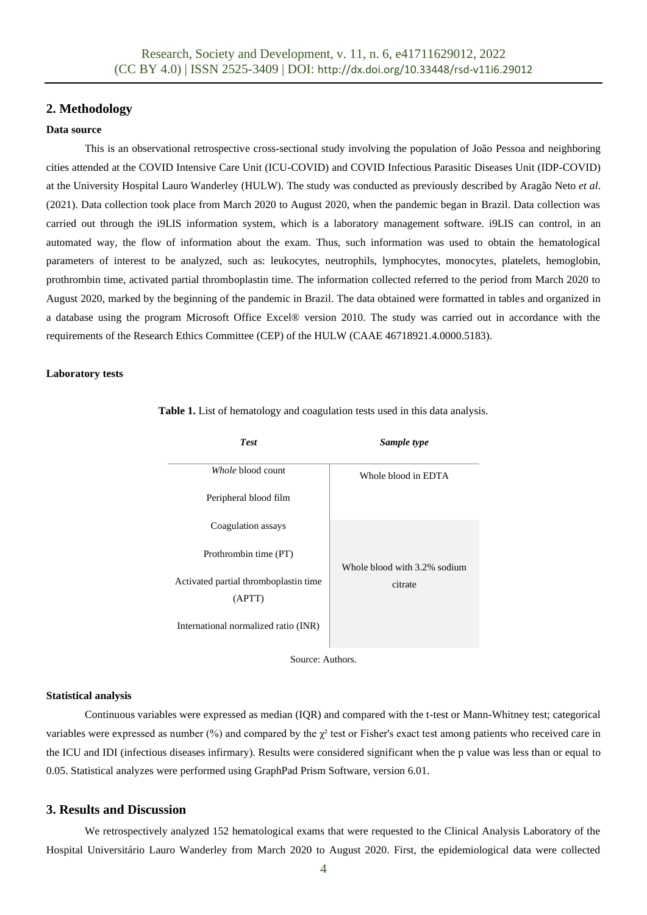# **2. Methodology**

#### **Data source**

This is an observational retrospective cross-sectional study involving the population of João Pessoa and neighboring cities attended at the COVID Intensive Care Unit (ICU-COVID) and COVID Infectious Parasitic Diseases Unit (IDP-COVID) at the University Hospital Lauro Wanderley (HULW). The study was conducted as previously described by Aragão Neto *et al*. (2021). Data collection took place from March 2020 to August 2020, when the pandemic began in Brazil. Data collection was carried out through the i9LIS information system, which is a laboratory management software. i9LIS can control, in an automated way, the flow of information about the exam. Thus, such information was used to obtain the hematological parameters of interest to be analyzed, such as: leukocytes, neutrophils, lymphocytes, monocytes, platelets, hemoglobin, prothrombin time, activated partial thromboplastin time. The information collected referred to the period from March 2020 to August 2020, marked by the beginning of the pandemic in Brazil. The data obtained were formatted in tables and organized in a database using the program Microsoft Office Excel® version 2010. The study was carried out in accordance with the requirements of the Research Ethics Committee (CEP) of the HULW (CAAE 46718921.4.0000.5183).

#### **Laboratory tests**

| <b>Test</b>                                     | Sample type                  |  |
|-------------------------------------------------|------------------------------|--|
| Whole blood count                               | Whole blood in EDTA          |  |
| Peripheral blood film                           |                              |  |
| Coagulation assays                              |                              |  |
| Prothrombin time (PT)                           | Whole blood with 3.2% sodium |  |
| Activated partial thromboplastin time<br>(APTT) | citrate                      |  |
| International normalized ratio (INR)            |                              |  |

**Table 1.** List of hematology and coagulation tests used in this data analysis.

Source: Authors.

#### **Statistical analysis**

Continuous variables were expressed as median (IQR) and compared with the t-test or Mann-Whitney test; categorical variables were expressed as number  $\frac{9}{9}$  and compared by the  $\chi^2$  test or Fisher's exact test among patients who received care in the ICU and IDI (infectious diseases infirmary). Results were considered significant when the p value was less than or equal to 0.05. Statistical analyzes were performed using GraphPad Prism Software, version 6.01.

# **3. Results and Discussion**

We retrospectively analyzed 152 hematological exams that were requested to the Clinical Analysis Laboratory of the Hospital Universitário Lauro Wanderley from March 2020 to August 2020. First, the epidemiological data were collected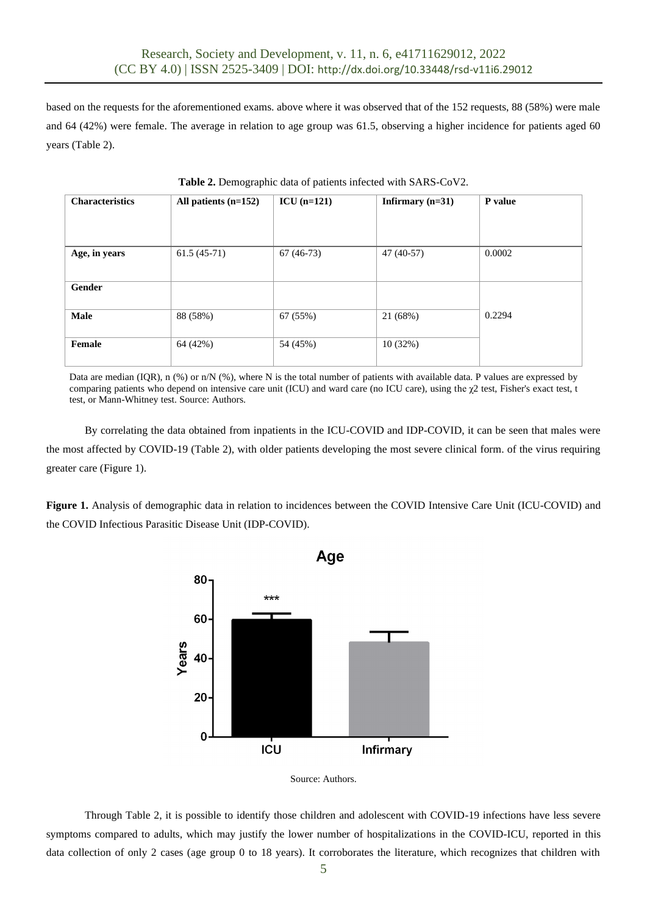based on the requests for the aforementioned exams. above where it was observed that of the 152 requests, 88 (58%) were male and 64 (42%) were female. The average in relation to age group was 61.5, observing a higher incidence for patients aged 60 years (Table 2).

| <b>Characteristics</b> | All patients $(n=152)$ | $ICU$ (n=121) | Infirmary $(n=31)$ | P value |  |
|------------------------|------------------------|---------------|--------------------|---------|--|
| Age, in years          | $61.5(45-71)$          | $67(46-73)$   | 47 (40-57)         | 0.0002  |  |
| Gender                 |                        |               |                    |         |  |
| Male                   | 88 (58%)               | 67 (55%)      | 21 (68%)           | 0.2294  |  |
| Female                 | 64 (42%)               | 54 (45%)      | 10(32%)            |         |  |

**Table 2.** Demographic data of patients infected with SARS-CoV2.

Data are median (IQR), n  $(\%)$  or n/N  $(\%)$ , where N is the total number of patients with available data. P values are expressed by comparing patients who depend on intensive care unit (ICU) and ward care (no ICU care), using the  $\chi$ 2 test, Fisher's exact test, t test, or Mann-Whitney test. Source: Authors.

By correlating the data obtained from inpatients in the ICU-COVID and IDP-COVID, it can be seen that males were the most affected by COVID-19 (Table 2), with older patients developing the most severe clinical form. of the virus requiring greater care (Figure 1).

**Figure 1.** Analysis of demographic data in relation to incidences between the COVID Intensive Care Unit (ICU-COVID) and the COVID Infectious Parasitic Disease Unit (IDP-COVID).





Through Table 2, it is possible to identify those children and adolescent with COVID-19 infections have less severe symptoms compared to adults, which may justify the lower number of hospitalizations in the COVID-ICU, reported in this data collection of only 2 cases (age group 0 to 18 years). It corroborates the literature, which recognizes that children with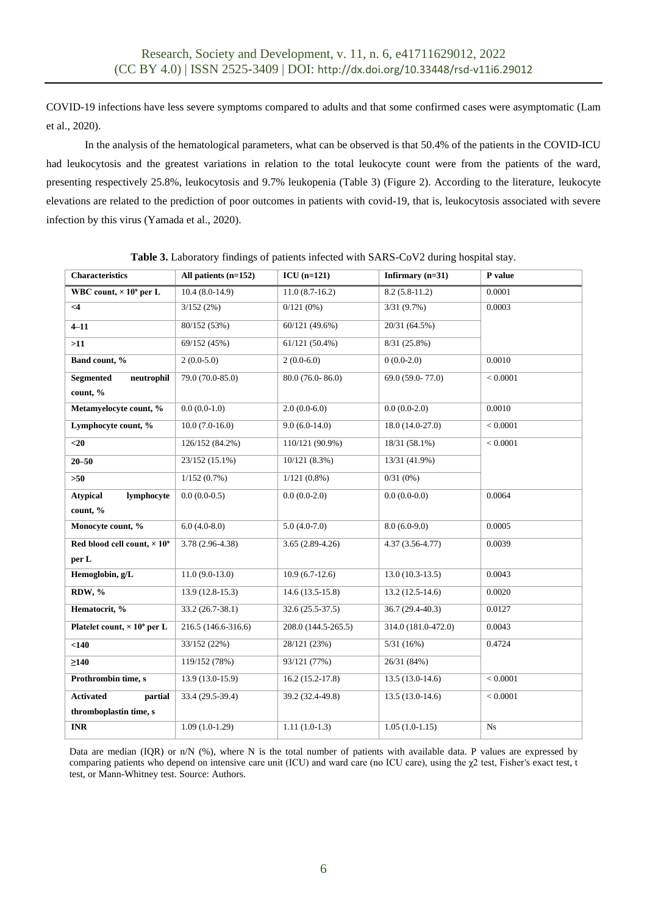COVID-19 infections have less severe symptoms compared to adults and that some confirmed cases were asymptomatic (Lam et al., 2020).

In the analysis of the hematological parameters, what can be observed is that 50.4% of the patients in the COVID-ICU had leukocytosis and the greatest variations in relation to the total leukocyte count were from the patients of the ward, presenting respectively 25.8%, leukocytosis and 9.7% leukopenia (Table 3) (Figure 2). According to the literature, leukocyte elevations are related to the prediction of poor outcomes in patients with covid-19, that is, leukocytosis associated with severe infection by this virus (Yamada et al., 2020).

| <b>Characteristics</b>                         | All patients $(n=152)$ | $ICU$ (n=121)       | Infirmary (n=31)    | P value    |
|------------------------------------------------|------------------------|---------------------|---------------------|------------|
| WBC count, $\times$ 10 <sup>9</sup> per L      | $10.4(8.0-14.9)$       | $11.0(8.7-16.2)$    | $8.2(5.8-11.2)$     | 0.0001     |
|                                                |                        |                     |                     |            |
| $\leq$ 4                                       | 3/152(2%)              | $0/121(0\%)$        | 3/31(9.7%)          | 0.0003     |
| $4 - 11$                                       | 80/152 (53%)           | 60/121 (49.6%)      | 20/31 (64.5%)       |            |
| >11                                            | 69/152 (45%)           | 61/121 (50.4%)      | 8/31 (25.8%)        |            |
| Band count, %                                  | $2(0.0-5.0)$           | $2(0.0-6.0)$        | $0(0.0-2.0)$        | 0.0010     |
| <b>Segmented</b><br>neutrophil                 | 79.0 (70.0-85.0)       | 80.0 (76.0-86.0)    | 69.0 (59.0-77.0)    | < 0.0001   |
| count, %                                       |                        |                     |                     |            |
| Metamyelocyte count, %                         | $0.0(0.0-1.0)$         | $2.0(0.0-6.0)$      | $0.0(0.0-2.0)$      | 0.0010     |
| Lymphocyte count, %                            | $10.0(7.0-16.0)$       | $9.0(6.0-14.0)$     | 18.0 (14.0-27.0)    | $< 0.0001$ |
| $<$ 20                                         | 126/152 (84.2%)        | 110/121 (90.9%)     | 18/31 (58.1%)       | < 0.0001   |
| $20 - 50$                                      | 23/152 (15.1%)         | 10/121 (8.3%)       | 13/31 (41.9%)       |            |
| $>50$                                          | $1/152(0.7\%)$         | $1/121(0.8\%)$      | $0/31(0\%)$         |            |
| <b>Atypical</b><br>lymphocyte                  | $0.0(0.0-0.5)$         | $0.0(0.0-2.0)$      | $0.0(0.0-0.0)$      | 0.0064     |
| count, %                                       |                        |                     |                     |            |
| Monocyte count, %                              | $6.0(4.0-8.0)$         | $5.0(4.0-7.0)$      | $8.0(6.0-9.0)$      | 0.0005     |
| Red blood cell count, $\times 10^9$            | 3.78 (2.96-4.38)       | $3.65(2.89-4.26)$   | $4.37(3.56 - 4.77)$ | 0.0039     |
| per L                                          |                        |                     |                     |            |
| Hemoglobin, g/L                                | $11.0(9.0-13.0)$       | $10.9(6.7-12.6)$    | $13.0(10.3-13.5)$   | 0.0043     |
| RDW, %                                         | $13.9(12.8-15.3)$      | $14.6(13.5-15.8)$   | $13.2(12.5-14.6)$   | 0.0020     |
| Hematocrit, %                                  | 33.2 (26.7-38.1)       | 32.6 (25.5-37.5)    | 36.7 (29.4-40.3)    | 0.0127     |
| Platelet count, $\times$ 10 <sup>9</sup> per L | 216.5 (146.6-316.6)    | 208.0 (144.5-265.5) | 314.0 (181.0-472.0) | 0.0043     |
| < 140                                          | 33/152 (22%)           | 28/121 (23%)        | 5/31(16%)           | 0.4724     |
| $\geq 140$                                     | 119/152 (78%)          | 93/121 (77%)        | 26/31 (84%)         |            |
| Prothrombin time, s                            | 13.9 (13.0-15.9)       | $16.2(15.2-17.8)$   | $13.5(13.0-14.6)$   | < 0.0001   |
| <b>Activated</b><br>partial                    | 33.4 (29.5-39.4)       | 39.2 (32.4-49.8)    | $13.5(13.0-14.6)$   | < 0.0001   |
| thromboplastin time, s                         |                        |                     |                     |            |
| <b>INR</b>                                     | $1.09(1.0-1.29)$       | $1.11(1.0-1.3)$     | $1.05(1.0-1.15)$    | Ns         |

**Table 3.** Laboratory findings of patients infected with SARS-CoV2 during hospital stay.

Data are median (IQR) or n/N (%), where N is the total number of patients with available data. P values are expressed by comparing patients who depend on intensive care unit (ICU) and ward care (no ICU care), using the  $\chi$ 2 test, Fisher's exact test, t test, or Mann-Whitney test. Source: Authors.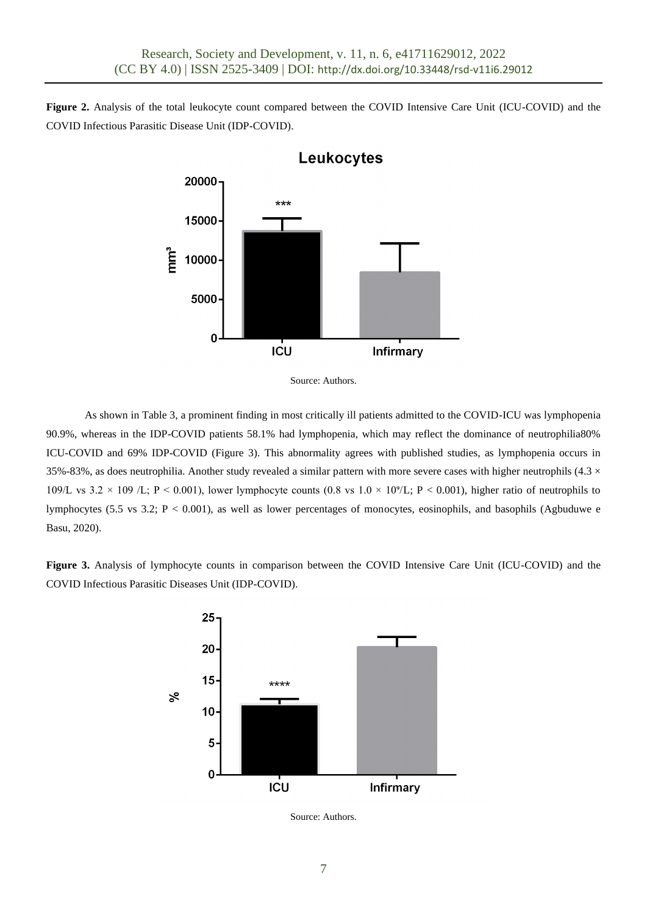**Figure 2.** Analysis of the total leukocyte count compared between the COVID Intensive Care Unit (ICU-COVID) and the COVID Infectious Parasitic Disease Unit (IDP-COVID).



Leukocytes

As shown in Table 3, a prominent finding in most critically ill patients admitted to the COVID-ICU was lymphopenia 90.9%, whereas in the IDP-COVID patients 58.1% had lymphopenia, which may reflect the dominance of neutrophilia80% ICU-COVID and 69% IDP-COVID (Figure 3). This abnormality agrees with published studies, as lymphopenia occurs in 35%-83%, as does neutrophilia. Another study revealed a similar pattern with more severe cases with higher neutrophils (4.3  $\times$ 109/L vs 3.2 × 109 /L; P < 0.001), lower lymphocyte counts (0.8 vs  $1.0 \times 10^{9}$ /L; P < 0.001), higher ratio of neutrophils to lymphocytes (5.5 vs 3.2;  $P < 0.001$ ), as well as lower percentages of monocytes, eosinophils, and basophils (Agbuduwe e Basu, 2020).

**Figure 3.** Analysis of lymphocyte counts in comparison between the COVID Intensive Care Unit (ICU-COVID) and the COVID Infectious Parasitic Diseases Unit (IDP-COVID).



Source: Authors.

Source: Authors.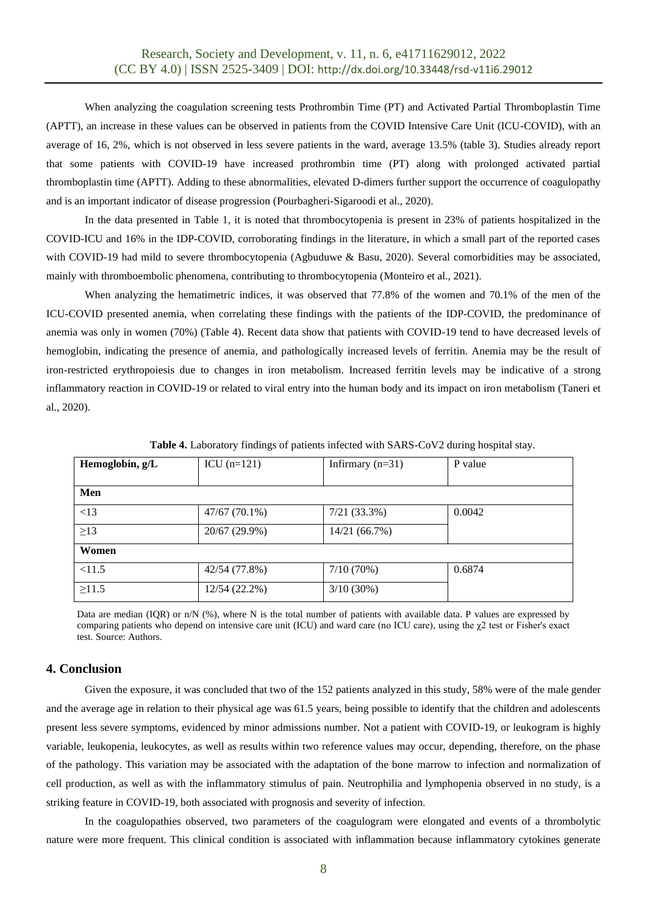When analyzing the coagulation screening tests Prothrombin Time (PT) and Activated Partial Thromboplastin Time (APTT), an increase in these values can be observed in patients from the COVID Intensive Care Unit (ICU-COVID), with an average of 16, 2%, which is not observed in less severe patients in the ward, average 13.5% (table 3). Studies already report that some patients with COVID-19 have increased prothrombin time (PT) along with prolonged activated partial thromboplastin time (APTT). Adding to these abnormalities, elevated D-dimers further support the occurrence of coagulopathy and is an important indicator of disease progression (Pourbagheri-Sigaroodi et al., 2020).

In the data presented in Table 1, it is noted that thrombocytopenia is present in 23% of patients hospitalized in the COVID-ICU and 16% in the IDP-COVID, corroborating findings in the literature, in which a small part of the reported cases with COVID-19 had mild to severe thrombocytopenia (Agbuduwe & Basu, 2020). Several comorbidities may be associated, mainly with thromboembolic phenomena, contributing to thrombocytopenia (Monteiro et al., 2021).

When analyzing the hematimetric indices, it was observed that 77.8% of the women and 70.1% of the men of the ICU-COVID presented anemia, when correlating these findings with the patients of the IDP-COVID, the predominance of anemia was only in women (70%) (Table 4). Recent data show that patients with COVID-19 tend to have decreased levels of hemoglobin, indicating the presence of anemia, and pathologically increased levels of ferritin. Anemia may be the result of iron-restricted erythropoiesis due to changes in iron metabolism. Increased ferritin levels may be indicative of a strong inflammatory reaction in COVID-19 or related to viral entry into the human body and its impact on iron metabolism (Taneri et al., 2020).

| Hemoglobin, g/L | $ICU$ (n=121)   | Infirmary $(n=31)$ | P value |
|-----------------|-----------------|--------------------|---------|
|                 |                 |                    |         |
| Men             |                 |                    |         |
| <13             | $47/67(70.1\%)$ | $7/21$ (33.3%)     | 0.0042  |
| $\geq$ 13       | 20/67 (29.9%)   | 14/21 (66.7%)      |         |
| Women           |                 |                    |         |
| < 11.5          | 42/54 (77.8%)   | 7/10(70%)          | 0.6874  |
| $\geq 11.5$     | 12/54 (22.2%)   | $3/10(30\%)$       |         |

**Table 4.** Laboratory findings of patients infected with SARS-CoV2 during hospital stay.

Data are median (IQR) or n/N (%), where N is the total number of patients with available data. P values are expressed by comparing patients who depend on intensive care unit (ICU) and ward care (no ICU care), using the χ2 test or Fisher's exact test. Source: Authors.

# **4. Conclusion**

Given the exposure, it was concluded that two of the 152 patients analyzed in this study, 58% were of the male gender and the average age in relation to their physical age was 61.5 years, being possible to identify that the children and adolescents present less severe symptoms, evidenced by minor admissions number. Not a patient with COVID-19, or leukogram is highly variable, leukopenia, leukocytes, as well as results within two reference values may occur, depending, therefore, on the phase of the pathology. This variation may be associated with the adaptation of the bone marrow to infection and normalization of cell production, as well as with the inflammatory stimulus of pain. Neutrophilia and lymphopenia observed in no study, is a striking feature in COVID-19, both associated with prognosis and severity of infection.

In the coagulopathies observed, two parameters of the coagulogram were elongated and events of a thrombolytic nature were more frequent. This clinical condition is associated with inflammation because inflammatory cytokines generate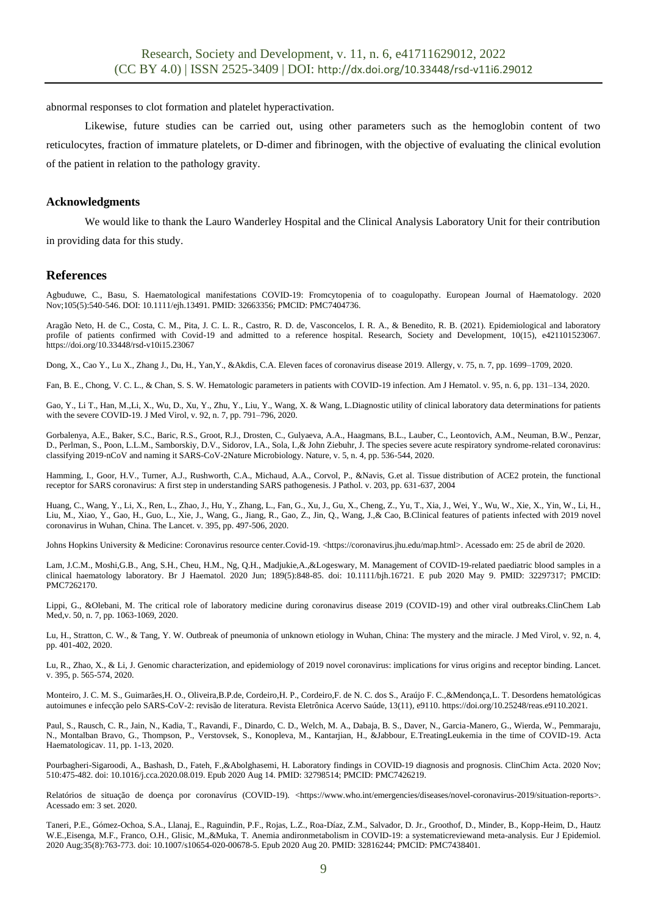abnormal responses to clot formation and platelet hyperactivation.

Likewise, future studies can be carried out, using other parameters such as the hemoglobin content of two reticulocytes, fraction of immature platelets, or D-dimer and fibrinogen, with the objective of evaluating the clinical evolution of the patient in relation to the pathology gravity.

#### **Acknowledgments**

We would like to thank the Lauro Wanderley Hospital and the Clinical Analysis Laboratory Unit for their contribution in providing data for this study.

### **References**

Agbuduwe, C., Basu, S. Haematological manifestations COVID-19: Fromcytopenia of to coagulopathy. European Journal of Haematology. 2020 Nov;105(5):540-546. DOI: 10.1111/ejh.13491. PMID: 32663356; PMCID: PMC7404736.

Aragão Neto, H. de C., Costa, C. M., Pita, J. C. L. R., Castro, R. D. de, Vasconcelos, I. R. A., & Benedito, R. B. (2021). Epidemiological and laboratory profile of patients confirmed with Covid-19 and admitted to a reference hospital. Research, Society and Development, 10(15), e421101523067. https://doi.org/10.33448/rsd-v10i15.23067

Dong, X., Cao Y., Lu X., Zhang J., Du, H., Yan,Y., &Akdis, C.A. Eleven faces of coronavirus disease 2019. Allergy, v. 75, n. 7, pp. 1699–1709, 2020.

Fan, B. E., Chong, V. C. L., & Chan, S. S. W. Hematologic parameters in patients with COVID-19 infection. Am J Hematol. v. 95, n. 6, pp. 131–134, 2020.

Gao, Y., Li T., Han, M.,Li, X., Wu, D., Xu, Y., Zhu, Y., Liu, Y., Wang, X. & Wang, L.Diagnostic utility of clinical laboratory data determinations for patients with the severe COVID-19. J Med Virol, v. 92, n. 7, pp. 791–796, 2020.

Gorbalenya, A.E., Baker, S.C., Baric, R.S., Groot, R.J., Drosten, C., Gulyaeva, A.A., Haagmans, B.L., Lauber, C., Leontovich, A.M., Neuman, B.W., Penzar, D., Perlman, S., Poon, L.L.M., Samborskiy, D.V., Sidorov, I.A., Sola, I.,& John Ziebuhr, J. The species severe acute respiratory syndrome-related coronavirus: classifying 2019-nCoV and naming it SARS-CoV-2Nature Microbiology. Nature, v. 5, n. 4, pp. 536-544, 2020.

Hamming, I., Goor, H.V., Turner, A.J., Rushworth, C.A., Michaud, A.A., Corvol, P., &Navis, G.et al. Tissue distribution of ACE2 protein, the functional receptor for SARS coronavirus: A first step in understanding SARS pathogenesis. J Pathol. v. 203, pp. 631-637, 2004

Huang, C., Wang, Y., Li, X., Ren, L., Zhao, J., Hu, Y., Zhang, L., Fan, G., Xu, J., Gu, X., Cheng, Z., Yu, T., Xia, J., Wei, Y., Wu, W., Xie, X., Yin, W., Li, H., Liu, M., Xiao, Y., Gao, H., Guo, L., Xie, J., Wang, G., Jiang, R., Gao, Z., Jin, Q., Wang, J.,& Cao, B.Clinical features of patients infected with 2019 novel coronavirus in Wuhan, China. The Lancet. v. 395, pp. 497-506, 2020.

Johns Hopkins University & Medicine: Coronavirus resource center.Covid-19. <https://coronavirus.jhu.edu/map.html>. Acessado em: 25 de abril de 2020.

Lam, J.C.M., Moshi,G.B., Ang, S.H., Cheu, H.M., Ng, Q.H., Madjukie,A.,&Logeswary, M. Management of COVID-19-related paediatric blood samples in a clinical haematology laboratory. Br J Haematol. 2020 Jun; 189(5):848-85. doi: 10.1111/bjh.16721. E pub 2020 May 9. PMID: 32297317; PMCID: PMC7262170.

Lippi, G., &Olebani, M. The critical role of laboratory medicine during coronavirus disease 2019 (COVID-19) and other viral outbreaks.ClinChem Lab Med,v. 50, n. 7, pp. 1063-1069, 2020.

Lu, H., Stratton, C. W., & Tang, Y. W. Outbreak of pneumonia of unknown etiology in Wuhan, China: The mystery and the miracle. J Med Virol, v. 92, n. 4, pp. 401-402, 2020.

Lu, R., Zhao, X., & Li, J. Genomic characterization, and epidemiology of 2019 novel coronavirus: implications for virus origins and receptor binding. Lancet. v. 395, p. 565-574, 2020.

Monteiro, J. C. M. S., Guimarães,H. O., Oliveira,B.P.de, Cordeiro,H. P., Cordeiro,F. de N. C. dos S., Araújo F. C.,&Mendonça,L. T. Desordens hematológicas autoimunes e infecção pelo SARS-CoV-2: revisão de literatura. Revista Eletrônica Acervo Saúde, 13(11), e9110. https://doi.org/10.25248/reas.e9110.2021.

Paul, S., Rausch, C. R., Jain, N., Kadia, T., Ravandi, F., Dinardo, C. D., Welch, M. A., Dabaja, B. S., Daver, N., Garcia-Manero, G., Wierda, W., Pemmaraju, N., Montalban Bravo, G., Thompson, P., Verstovsek, S., Konopleva, M., Kantarjian, H., &Jabbour, E.TreatingLeukemia in the time of COVID-19. Acta Haematologicav. 11, pp. 1-13, 2020.

Pourbagheri-Sigaroodi, A., Bashash, D., Fateh, F.,&Abolghasemi, H. Laboratory findings in COVID-19 diagnosis and prognosis. ClinChim Acta. 2020 Nov; 510:475-482. doi: 10.1016/j.cca.2020.08.019. Epub 2020 Aug 14. PMID: 32798514; PMCID: PMC7426219.

Relatórios de situação de doença por coronavírus (COVID-19). <https://www.who.int/emergencies/diseases/novel-coronavirus-2019/situation-reports>. Acessado em: 3 set. 2020.

Taneri, P.E., Gómez-Ochoa, S.A., Llanaj, E., Raguindin, P.F., Rojas, L.Z., Roa-Díaz, Z.M., Salvador, D. Jr., Groothof, D., Minder, B., Kopp-Heim, D., Hautz W.E.,Eisenga, M.F., Franco, O.H., Glisic, M.,&Muka, T. Anemia andironmetabolism in COVID-19: a systematicreviewand meta-analysis. Eur J Epidemiol. 2020 Aug;35(8):763-773. doi: 10.1007/s10654-020-00678-5. Epub 2020 Aug 20. PMID: 32816244; PMCID: PMC7438401.